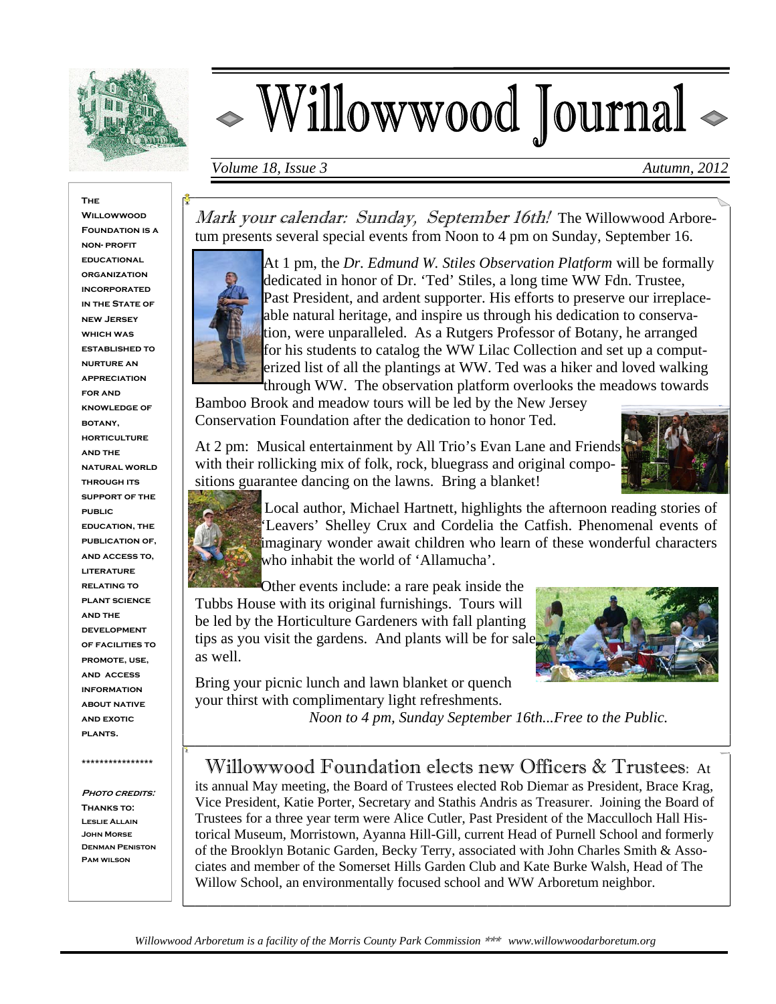

# Willowwood Journal <

*Volume 18, Issue 3* Autumn, 2012

**The Willowwood FOUNDATION IS A non- profit educational organization incorporated IN THE STATE OF new Jersey which was established to nurture an appreciation for and knowledge of botany, horticulture and the natural world through its support of the public education, the publication of, and access to, literature relating to plant science and the development of facilities to promote, use, and access information about native and exotic plants.** 

**\*\*\*\*\*\*\*\*\*\*\*\*\*\*\*\*** 

**PHOTO CREDITS: Thanks to: Leslie Allain John Morse Denman Peniston Pam wilson** 

Mark your calendar: Sunday, September 16th! The Willowwood Arboretum presents several special events from Noon to 4 pm on Sunday, September 16.



At 1 pm, the *Dr. Edmund W. Stiles Observation Platform* will be formally dedicated in honor of Dr. 'Ted' Stiles, a long time WW Fdn. Trustee, Past President, and ardent supporter. His efforts to preserve our irreplaceable natural heritage, and inspire us through his dedication to conservation, were unparalleled. As a Rutgers Professor of Botany, he arranged for his students to catalog the WW Lilac Collection and set up a computerized list of all the plantings at WW. Ted was a hiker and loved walking through WW. The observation platform overlooks the meadows towards

Bamboo Brook and meadow tours will be led by the New Jersey Conservation Foundation after the dedication to honor Ted.

At 2 pm: Musical entertainment by All Trio's Evan Lane and Friends with their rollicking mix of folk, rock, bluegrass and original compositions guarantee dancing on the lawns. Bring a blanket!





 Local author, Michael Hartnett, highlights the afternoon reading stories of 'Leavers' Shelley Crux and Cordelia the Catfish. Phenomenal events of imaginary wonder await children who learn of these wonderful characters who inhabit the world of 'Allamucha'.

Other events include: a rare peak inside the Tubbs House with its original furnishings. Tours will be led by the Horticulture Gardeners with fall planting tips as you visit the gardens. And plants will be for sale as well.



Bring your picnic lunch and lawn blanket or quench your thirst with complimentary light refreshments.

 *Noon to 4 pm, Sunday September 16th...Free to the Public.* 

## Willowwood Foundation elects new Officers & Trustees: At

its annual May meeting, the Board of Trustees elected Rob Diemar as President, Brace Krag, Vice President, Katie Porter, Secretary and Stathis Andris as Treasurer. Joining the Board of Trustees for a three year term were Alice Cutler, Past President of the Macculloch Hall Historical Museum, Morristown, Ayanna Hill-Gill, current Head of Purnell School and formerly of the Brooklyn Botanic Garden, Becky Terry, associated with John Charles Smith & Associates and member of the Somerset Hills Garden Club and Kate Burke Walsh, Head of The Willow School, an environmentally focused school and WW Arboretum neighbor.

*Willowwood Arboretum is a facility of the Morris County Park Commission* \*\*\* *www.willowwoodarboretum.org*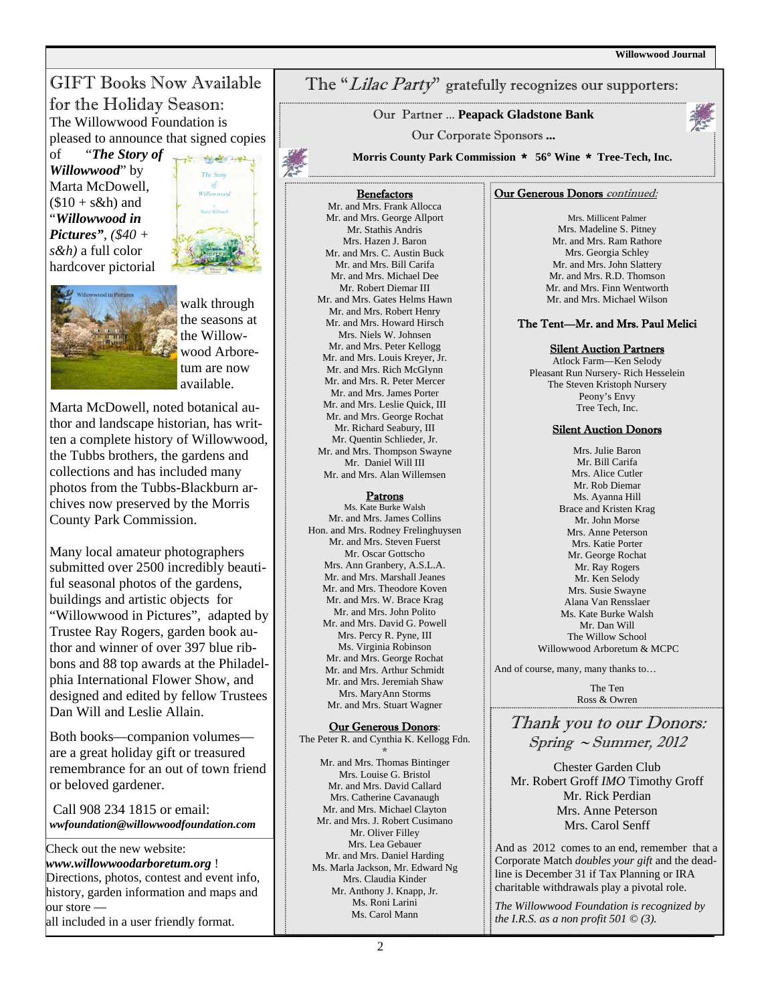GIFT Books Now Available for the Holiday Season: The Willowwood Foundation is pleased to announce that signed copies

of "*The Story of Willowwood*" by Marta McDowell,  $($10 + s\&h)$  and "*Willowwood in Pictures", (\$40 + s&h)* a full color hardcover pictorial



the seasons at the Willowwood Arboretum are now available.

walk through

Marta McDowell, noted botanical author and landscape historian, has written a complete history of Willowwood, the Tubbs brothers, the gardens and collections and has included many photos from the Tubbs-Blackburn archives now preserved by the Morris County Park Commission.

Many local amateur photographers submitted over 2500 incredibly beautiful seasonal photos of the gardens, buildings and artistic objects for "Willowwood in Pictures", adapted by Trustee Ray Rogers, garden book author and winner of over 397 blue ribbons and 88 top awards at the Philadelphia International Flower Show, and designed and edited by fellow Trustees Dan Will and Leslie Allain.

Both books—companion volumes are a great holiday gift or treasured remembrance for an out of town friend or beloved gardener.

 Call 908 234 1815 or email: *wwfoundation@willowwoodfoundation.com* 

Check out the new website: *www.willowwoodarboretum.org* ! Directions, photos, contest and event info, history, garden information and maps and our store all included in a user friendly format.

### The "Lilac Party" gratefully recognizes our supporters:

Our Partner ... **Peapack Gladstone Bank**

Our Corporate Sponsors **...**

**Morris County Park Commission** \* **56° Wine** \* **Tree-Tech, Inc.** 

#### **Benefactors**

Mr. and Mrs. Frank Allocca Mr. and Mrs. George Allport Mr. Stathis Andris Mrs. Hazen J. Baron Mr. and Mrs. C. Austin Buck Mr. and Mrs. Bill Carifa Mr. and Mrs. Michael Dee Mr. Robert Diemar III Mr. and Mrs. Gates Helms Hawn Mr. and Mrs. Robert Henry Mr. and Mrs. Howard Hirsch Mrs. Niels W. Johnsen Mr. and Mrs. Peter Kellogg Mr. and Mrs. Louis Kreyer, Jr. Mr. and Mrs. Rich McGlynn Mr. and Mrs. R. Peter Mercer Mr. and Mrs. James Porter Mr. and Mrs. Leslie Quick, III Mr. and Mrs. George Rochat Mr. Richard Seabury, III Mr. Quentin Schlieder, Jr. Mr. and Mrs. Thompson Swayne Mr. Daniel Will III Mr. and Mrs. Alan Willemsen

#### Patrons

Ms. Kate Burke Walsh Mr. and Mrs. James Collins Hon. and Mrs. Rodney Frelinghuysen Mr. and Mrs. Steven Fuerst Mr. Oscar Gottscho Mrs. Ann Granbery, A.S.L.A. Mr. and Mrs. Marshall Jeanes Mr. and Mrs. Theodore Koven Mr. and Mrs. W. Brace Krag Mr. and Mrs. John Polito Mr. and Mrs. David G. Powell Mrs. Percy R. Pyne, III Ms. Virginia Robinson Mr. and Mrs. George Rochat Mr. and Mrs. Arthur Schmidt Mr. and Mrs. Jeremiah Shaw Mrs. MaryAnn Storms Mr. and Mrs. Stuart Wagner

Our Generous Donors: The Peter R. and Cynthia K. Kellogg Fdn.

\* Mr. and Mrs. Thomas Bintinger Mrs. Louise G. Bristol Mr. and Mrs. David Callard Mrs. Catherine Cavanaugh Mr. and Mrs. Michael Clayton Mr. and Mrs. J. Robert Cusimano Mr. Oliver Filley Mrs. Lea Gebauer Mr. and Mrs. Daniel Harding Ms. Marla Jackson, Mr. Edward Ng Mrs. Claudia Kinder Mr. Anthony J. Knapp, Jr. Ms. Roni Larini Ms. Carol Mann

#### Our Generous Donors continued:

Mrs. Millicent Palmer Mrs. Madeline S. Pitney Mr. and Mrs. Ram Rathore Mrs. Georgia Schley Mr. and Mrs. John Slattery Mr. and Mrs. R.D. Thomson Mr. and Mrs. Finn Wentworth Mr. and Mrs. Michael Wilson

#### The Tent—Mr. and Mrs. Paul Melici

#### **Silent Auction Partners**

Atlock Farm—Ken Selody Pleasant Run Nursery- Rich Hesselein The Steven Kristoph Nursery Peony's Envy Tree Tech, Inc.

#### Silent Auction Donors

Mrs. Julie Baron Mr. Bill Carifa Mrs. Alice Cutler Mr. Rob Diemar Ms. Ayanna Hill Brace and Kristen Krag Mr. John Morse Mrs. Anne Peterson Mrs. Katie Porter Mr. George Rochat Mr. Ray Rogers Mr. Ken Selody Mrs. Susie Swayne Alana Van Rensslaer Ms. Kate Burke Walsh Mr. Dan Will The Willow School Willowwood Arboretum & MCPC

And of course, many, many thanks to...

The Ten Ross & Owren

Thank you to our Donors:  $Spring \sim Summer$ , 2012

Chester Garden Club Mr. Robert Groff *IMO* Timothy Groff Mr. Rick Perdian Mrs. Anne Peterson Mrs. Carol Senff

And as 2012 comes to an end, remember that a Corporate Match *doubles your gift* and the deadline is December 31 if Tax Planning or IRA charitable withdrawals play a pivotal role.

*The Willowwood Foundation is recognized by the I.R.S. as a non profit 501 © (3).*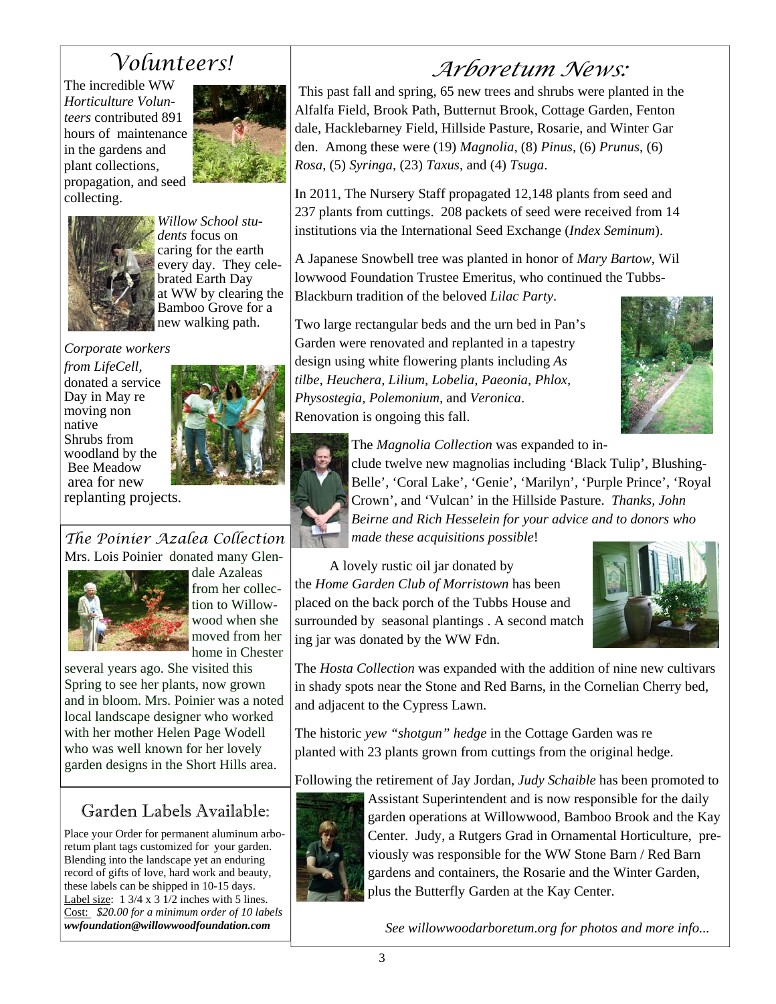## *Volunteers!*

The incredible WW *Horticulture Volunteers* contributed 891 hours of maintenance in the gardens and plant collections, propagation, and seed collecting.





*dents* focus on caring for the earth every day. They celebrated Earth Day at WW by clearing the Bamboo Grove for a new walking path.

*Willow School stu-*

*Corporate workers* 





*The Poinier Azalea Collection*  Mrs. Lois Poinier donated many Glen-



dale Azaleas from her collection to Willowwood when she moved from her home in Chester

several years ago. She visited this Spring to see her plants, now grown and in bloom. Mrs. Poinier was a noted local landscape designer who worked with her mother Helen Page Wodell who was well known for her lovely garden designs in the Short Hills area.

## Garden Labels Available:

Place your Order for permanent aluminum arboretum plant tags customized for your garden. Blending into the landscape yet an enduring record of gifts of love, hard work and beauty, these labels can be shipped in 10-15 days. Label size: 1 3/4 x 3 1/2 inches with 5 lines. Cost: *\$20.00 for a minimum order of 10 labels wwfoundation@willowwoodfoundation.com* 

# *Arboretum News:*

This past fall and spring, 65 new trees and shrubs were planted in the Alfalfa Field, Brook Path, Butternut Brook, Cottage Garden, Fenton dale, Hacklebarney Field, Hillside Pasture, Rosarie, and Winter Gar den. Among these were (19) *Magnolia*, (8) *Pinus*, (6) *Prunus*, (6) *Rosa*, (5) *Syringa*, (23) *Taxus*, and (4) *Tsuga*.

In 2011, The Nursery Staff propagated 12,148 plants from seed and 237 plants from cuttings. 208 packets of seed were received from 14 institutions via the International Seed Exchange (*Index Seminum*).

A Japanese Snowbell tree was planted in honor of *Mary Bartow*, Wil lowwood Foundation Trustee Emeritus, who continued the Tubbs-Blackburn tradition of the beloved *Lilac Party*.

Two large rectangular beds and the urn bed in Pan's Garden were renovated and replanted in a tapestry design using white flowering plants including *As tilbe, Heuchera, Lilium, Lobelia, Paeonia, Phlox, Physostegia, Polemonium,* and *Veronica*. Renovation is ongoing this fall.





The *Magnolia Collection* was expanded to include twelve new magnolias including 'Black Tulip', Blushing-Belle', 'Coral Lake', 'Genie', 'Marilyn', 'Purple Prince', 'Royal Crown', and 'Vulcan' in the Hillside Pasture. *Thanks, John Beirne and Rich Hesselein for your advice and to donors who made these acquisitions possible*!

 A lovely rustic oil jar donated by the *Home Garden Club of Morristown* has been placed on the back porch of the Tubbs House and surrounded by seasonal plantings . A second match ing jar was donated by the WW Fdn.



The *Hosta Collection* was expanded with the addition of nine new cultivars in shady spots near the Stone and Red Barns, in the Cornelian Cherry bed, and adjacent to the Cypress Lawn.

The historic *yew "shotgun" hedge* in the Cottage Garden was re planted with 23 plants grown from cuttings from the original hedge.

Following the retirement of Jay Jordan, *Judy Schaible* has been promoted to



Assistant Superintendent and is now responsible for the daily garden operations at Willowwood, Bamboo Brook and the Kay Center. Judy, a Rutgers Grad in Ornamental Horticulture, previously was responsible for the WW Stone Barn / Red Barn gardens and containers, the Rosarie and the Winter Garden, plus the Butterfly Garden at the Kay Center.

*See willowwoodarboretum.org for photos and more info...*